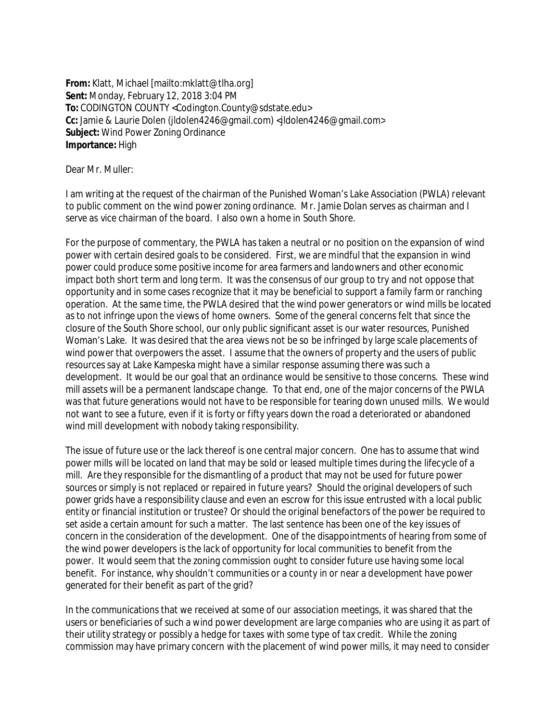**From:** Klatt, Michael [mailto:mklatt@tlha.org] **Sent:** Monday, February 12, 2018 3:04 PM **To:** CODINGTON COUNTY <Codington.County@sdstate.edu> **Cc:** Jamie & Laurie Dolen (jldolen4246@gmail.com) <jldolen4246@gmail.com> **Subject:** Wind Power Zoning Ordinance **Importance:** High

Dear Mr. Muller:

I am writing at the request of the chairman of the Punished Woman's Lake Association (PWLA) relevant to public comment on the wind power zoning ordinance. Mr. Jamie Dolan serves as chairman and I serve as vice chairman of the board. I also own a home in South Shore.

For the purpose of commentary, the PWLA has taken a neutral or no position on the expansion of wind power with certain desired goals to be considered. First, we are mindful that the expansion in wind power could produce some positive income for area farmers and landowners and other economic impact both short term and long term. It was the consensus of our group to try and not oppose that opportunity and in some cases recognize that it may be beneficial to support a family farm or ranching operation. At the same time, the PWLA desired that the wind power generators or wind mills be located as to not infringe upon the views of home owners. Some of the general concerns felt that since the closure of the South Shore school, our only public significant asset is our water resources, Punished Woman's Lake. It was desired that the area views not be so be infringed by large scale placements of wind power that overpowers the asset. I assume that the owners of property and the users of public resources say at Lake Kampeska might have a similar response assuming there was such a development. It would be our goal that an ordinance would be sensitive to those concerns. These wind mill assets will be a permanent landscape change. To that end, one of the major concerns of the PWLA was that future generations would not have to be responsible for tearing down unused mills. We would not want to see a future, even if it is forty or fifty years down the road a deteriorated or abandoned wind mill development with nobody taking responsibility.

The issue of future use or the lack thereof is one central major concern. One has to assume that wind power mills will be located on land that may be sold or leased multiple times during the lifecycle of a mill. Are they responsible for the dismantling of a product that may not be used for future power sources or simply is not replaced or repaired in future years? Should the original developers of such power grids have a responsibility clause and even an escrow for this issue entrusted with a local public entity or financial institution or trustee? Or should the original benefactors of the power be required to set aside a certain amount for such a matter. The last sentence has been one of the key issues of concern in the consideration of the development. One of the disappointments of hearing from some of the wind power developers is the lack of opportunity for local communities to benefit from the power. It would seem that the zoning commission ought to consider future use having some local benefit. For instance, why shouldn't communities or a county in or near a development have power generated for their benefit as part of the grid?

In the communications that we received at some of our association meetings, it was shared that the users or beneficiaries of such a wind power development are large companies who are using it as part of their utility strategy or possibly a hedge for taxes with some type of tax credit. While the zoning commission may have primary concern with the placement of wind power mills, it may need to consider